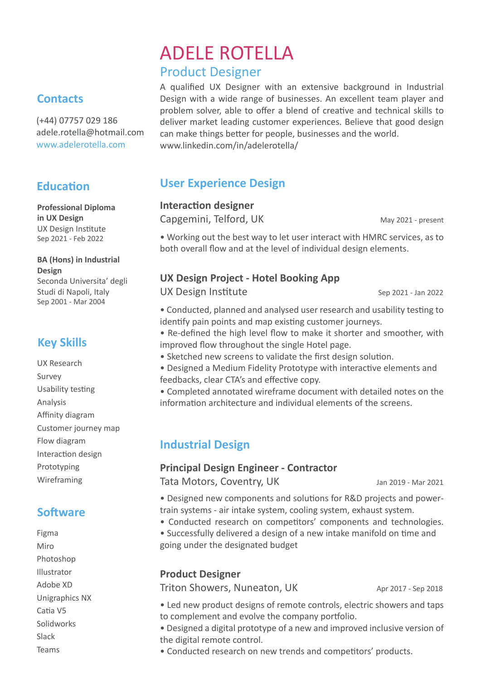# ADELE ROTELLA Product Designer

A qualified UX Designer with an extensive background in Industrial Design with a wide range of businesses. An excellent team player and problem solver, able to offer a blend of creative and technical skills to deliver market leading customer experiences. Believe that good design can make things better for people, businesses and the world. www.linkedin.com/in/adelerotella/

## **User Experience Design**

#### **Interaction designer**

Capgemini, Telford, UK May 2021 - present

• Working out the best way to let user interact with HMRC services, as to both overall flow and at the level of individual design elements.

## **UX Design Project - Hotel Booking App**

UX Design Institute Sep 2021 - Jan 2022

• Conducted, planned and analysed user research and usability testing to identify pain points and map existing customer journeys.

- Re-defined the high level flow to make it shorter and smoother, with improved flow throughout the single Hotel page.
- Sketched new screens to validate the first design solution.
- Designed a Medium Fidelity Prototype with interactive elements and feedbacks, clear CTA's and effective copy.

• Completed annotated wireframe document with detailed notes on the information architecture and individual elements of the screens.

## **Industrial Design**

#### **Principal Design Engineer - Contractor**

Tata Motors, Coventry, UK Jan 2019 - Mar 2021

• Designed new components and solutions for R&D projects and powertrain systems - air intake system, cooling system, exhaust system.

- Conducted research on competitors' components and technologies.
- Successfully delivered a design of a new intake manifold on time and going under the designated budget

## **Product Designer**

Triton Showers, Nuneaton, UK Apr 2017 - Sep 2018

• Led new product designs of remote controls, electric showers and taps to complement and evolve the company portfolio.

• Designed a digital prototype of a new and improved inclusive version of the digital remote control.

• Conducted research on new trends and competitors' products.

# **Contacts**

(+44) 07757 029 186 adele.rotella@hotmail.com www.adelerotella.com

# **Education**

**Professional Diploma in UX Design** UX Design Institute Sep 2021 - Feb 2022

## **BA (Hons) in Industrial Design**

Seconda Universita' degli Studi di Napoli, Italy Sep 2001 - Mar 2004

# **Key Skills**

UX Research Survey Usability testing Analysis Affinity diagram Customer journey map Flow diagram Interaction design Prototyping Wireframing

## **So�ware**

Figma Miro Photoshop Illustrator Adobe XD Unigraphics NX Catia V5 Solidworks Slack Teams